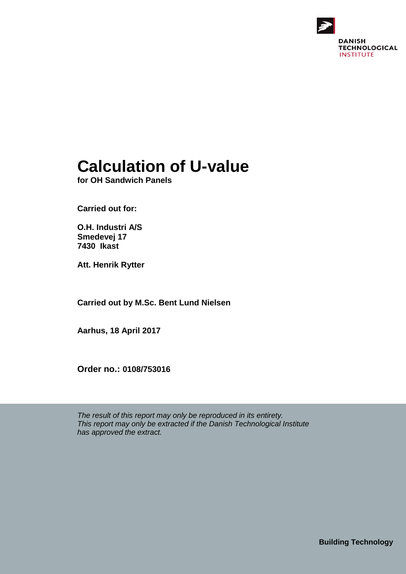

# **Calculation of U-value**

**for OH Sandwich Panels**

**Carried out for:**

**O.H. Industri A/S Smedevej 17 7430 Ikast**

**Att. Henrik Rytter**

**Carried out by M.Sc. Bent Lund Nielsen**

**Aarhus, 18 April 2017**

**Order no.: 0108/753016**

*The result of this report may only be reproduced in its entirety. This report may only be extracted if the Danish Technological Institute has approved the extract.*

**Building Technology**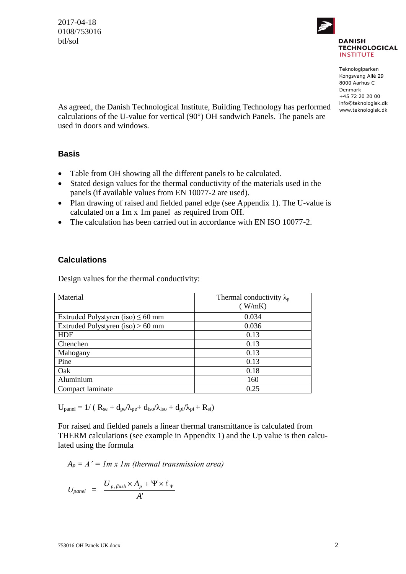2017-04-18 0108/753016 btl/sol



Teknologiparken Kongsvang Allé 29 8000 Aarhus C Denmark +45 72 20 20 00 info@teknologisk.dk www.teknologisk.dk

As agreed, the Danish Technological Institute, Building Technology has performed calculations of the U-value for vertical (90°) OH sandwich Panels. The panels are used in doors and windows.

#### **Basis**

- Table from OH showing all the different panels to be calculated.
- Stated design values for the thermal conductivity of the materials used in the panels (if available values from EN 10077-2 are used).
- Plan drawing of raised and fielded panel edge (see Appendix 1). The U-value is calculated on a 1m x 1m panel as required from OH.
- The calculation has been carried out in accordance with EN ISO 10077-2.

#### **Calculations**

Design values for the thermal conductivity:

| Material                               | Thermal conductivity $\lambda_p$<br>(W/mK) |
|----------------------------------------|--------------------------------------------|
| Extruded Polystyren (iso) $\leq 60$ mm | 0.034                                      |
| Extruded Polystyren $(iso) > 60$ mm    | 0.036                                      |
| <b>HDF</b>                             | 0.13                                       |
| Chenchen                               | 0.13                                       |
| Mahogany                               | 0.13                                       |
| Pine                                   | 0.13                                       |
| Oak                                    | 0.18                                       |
| Aluminium                              | 160                                        |
| Compact laminate                       | 0.25                                       |

 $U_{\text{panel}} = 1/$  (  $R_{\text{se}} + d_{\text{pe}}/\lambda_{\text{pe}} + d_{\text{iso}}/\lambda_{\text{iso}} + d_{\text{pi}}/\lambda_{\text{pi}} + R_{\text{si}})$ 

For raised and fielded panels a linear thermal transmittance is calculated from THERM calculations (see example in Appendix 1) and the Up value is then calculated using the formula

 $A_p = A' = Im x Im$  (thermal transmission area)

$$
U_{panel} = \frac{U_{p, flush} \times A_p + \Psi \times \ell_{\Psi}}{A'}
$$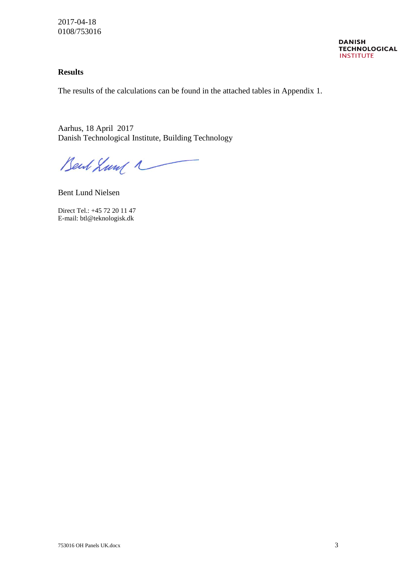2017-04-18 0108/753016

> **DANISH TECHNOLOGICAL INSTITUTE**

#### **Results**

The results of the calculations can be found in the attached tables in Appendix 1.

Aarhus, 18 April 2017 Danish Technological Institute, Building Technology

Bent Lund 1

Bent Lund Nielsen

Direct Tel.: +45 72 20 11 47 E-mail: btl@teknologisk.dk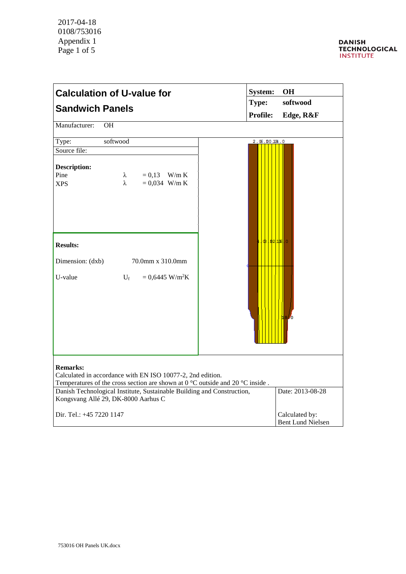| <b>System:</b><br><b>Calculation of U-value for</b>                                                                                                                                                                                                        |               | <b>OH</b>                                  |  |  |
|------------------------------------------------------------------------------------------------------------------------------------------------------------------------------------------------------------------------------------------------------------|---------------|--------------------------------------------|--|--|
| Type:                                                                                                                                                                                                                                                      |               | softwood<br>Edge, R&F                      |  |  |
| <b>Sandwich Panels</b>                                                                                                                                                                                                                                     |               |                                            |  |  |
| Manufacturer:<br><b>OH</b>                                                                                                                                                                                                                                 |               |                                            |  |  |
| softwood<br>Type:                                                                                                                                                                                                                                          | 2.06.00.104.0 |                                            |  |  |
| Source file:                                                                                                                                                                                                                                               |               |                                            |  |  |
| <b>Description:</b><br>Pine<br>λ<br>$= 0.13$ W/m K<br>λ<br>$= 0.034$ W/m K<br><b>XPS</b>                                                                                                                                                                   |               |                                            |  |  |
| <b>Results:</b><br>Dimension: (dxb)<br>70.0mm x 310.0mm                                                                                                                                                                                                    | ds intelated  |                                            |  |  |
|                                                                                                                                                                                                                                                            |               |                                            |  |  |
| U-value<br>$U_f$<br>$= 0,6445$ W/m <sup>2</sup> K                                                                                                                                                                                                          |               |                                            |  |  |
| <b>Remarks:</b><br>Calculated in accordance with EN ISO 10077-2, 2nd edition.<br>Temperatures of the cross section are shown at $0^{\circ}$ C outside and $20^{\circ}$ C inside.<br>Danish Technological Institute, Sustainable Building and Construction, |               | Date: 2013-08-28                           |  |  |
| Kongsvang Allé 29, DK-8000 Aarhus C                                                                                                                                                                                                                        |               |                                            |  |  |
| Dir. Tel.: +45 7220 1147                                                                                                                                                                                                                                   |               | Calculated by:<br><b>Bent Lund Nielsen</b> |  |  |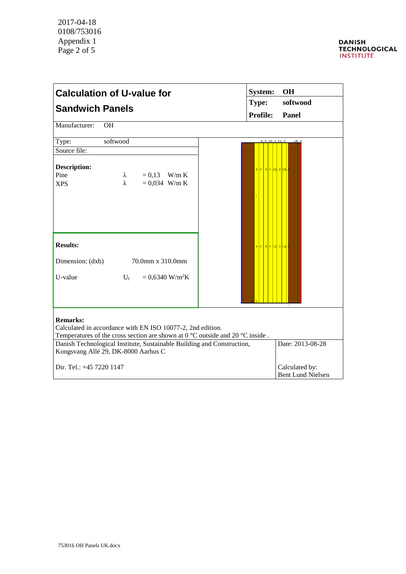| <b>Calculation of U-value for</b><br><b>Sandwich Panels</b><br>Manufacturer:<br><b>OH</b>                                                                                                                                                                                                                                     | <b>OH</b><br><b>System:</b><br>softwood<br>Type:<br><b>Profile:</b><br>Panel |  |  |  |  |
|-------------------------------------------------------------------------------------------------------------------------------------------------------------------------------------------------------------------------------------------------------------------------------------------------------------------------------|------------------------------------------------------------------------------|--|--|--|--|
| softwood<br>Type:<br>Source file:<br><b>Description:</b><br>Pine<br>$= 0.13$ W/m K<br>λ<br>λ<br>$= 0.034$ W/m K<br><b>XPS</b>                                                                                                                                                                                                 | 18.0<br>6.010.014.0<br>$4.0$ 8.0 12.0 16.                                    |  |  |  |  |
| <b>Results:</b><br>Dimension: (dxb)<br>70.0mm x 310.0mm<br>U-value<br>$U_{\rm f}$<br>$= 0,6340$ W/m <sup>2</sup> K                                                                                                                                                                                                            | $4.0$ $8.0$ $12.0$ $16$                                                      |  |  |  |  |
| <b>Remarks:</b><br>Calculated in accordance with EN ISO 10077-2, 2nd edition.<br>Temperatures of the cross section are shown at $0^{\circ}$ C outside and $20^{\circ}$ C inside.<br>Danish Technological Institute, Sustainable Building and Construction,<br>Kongsvang Allé 29, DK-8000 Aarhus C<br>Dir. Tel.: +45 7220 1147 | Date: 2013-08-28<br>Calculated by:<br><b>Bent Lund Nielsen</b>               |  |  |  |  |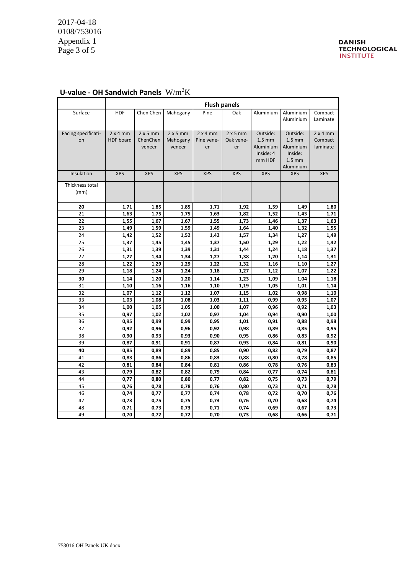2017-04-18 0108/753016 Appendix 1 Page 3 of 5

|                           | <b>Flush panels</b>       |                                |                                |                           |                             |                                                                  |                                                                                        |                              |
|---------------------------|---------------------------|--------------------------------|--------------------------------|---------------------------|-----------------------------|------------------------------------------------------------------|----------------------------------------------------------------------------------------|------------------------------|
| Surface                   | <b>HDF</b>                | Chen Chen                      | Mahogany                       | Pine                      | Oak                         | Aluminium                                                        | Aluminium<br>Aluminium                                                                 | Compact<br>Laminate          |
| Facing specificati-<br>on | 2x4mm<br><b>HDF</b> board | $2x5$ mm<br>ChenChen<br>veneer | $2x5$ mm<br>Mahogany<br>veneer | 2x4mm<br>Pine vene-<br>er | $2x5$ mm<br>Oak vene-<br>er | Outside:<br>$1.5 \text{ mm}$<br>Aluminium<br>Inside: 4<br>mm HDF | Outside:<br>$1.5 \text{ mm}$<br>Aluminium<br>Inside:<br>1.5 <sub>mm</sub><br>Aluminium | 2x4mm<br>Compact<br>laminate |
| Insulation                | <b>XPS</b>                | <b>XPS</b>                     | <b>XPS</b>                     | <b>XPS</b>                | <b>XPS</b>                  | <b>XPS</b>                                                       | <b>XPS</b>                                                                             | <b>XPS</b>                   |
| Thickness total<br>(mm)   |                           |                                |                                |                           |                             |                                                                  |                                                                                        |                              |
| 20                        | 1,71                      | 1,85                           | 1,85                           | 1,71                      | 1,92                        | 1,59                                                             | 1,49                                                                                   | 1,80                         |
| 21                        | 1,63                      | 1,75                           | 1,75                           | 1,63                      | 1,82                        | 1,52                                                             | 1,43                                                                                   | 1,71                         |
| 22                        | 1,55                      | 1,67                           | 1,67                           | 1,55                      | 1,73                        | 1,46                                                             | 1,37                                                                                   | 1,63                         |
| 23                        | 1,49                      | 1,59                           | 1,59                           | 1,49                      | 1,64                        | 1,40                                                             | 1,32                                                                                   | 1,55                         |
| 24                        | 1,42                      | 1,52                           | 1,52                           | 1,42                      | 1,57                        | 1,34                                                             | 1,27                                                                                   | 1,49                         |
| 25                        | 1,37                      | 1,45                           | 1,45                           | 1,37                      | 1,50                        | 1,29                                                             | 1,22                                                                                   | 1,42                         |
| 26                        | 1,31                      | 1,39                           | 1,39                           | 1,31                      | 1,44                        | 1,24                                                             | 1,18                                                                                   | 1,37                         |
| 27                        | 1,27                      | 1,34                           | 1,34                           | 1,27                      | 1,38                        | 1,20                                                             | 1,14                                                                                   | 1,31                         |
| 28                        | 1,22                      | 1,29                           | 1,29                           | 1,22                      | 1,32                        | 1,16                                                             | 1,10                                                                                   | 1,27                         |
| 29                        | 1,18                      | 1,24                           | 1,24                           | 1,18                      | 1,27                        | 1,12                                                             | 1,07                                                                                   | 1,22                         |
| 30                        | 1,14                      | 1,20                           | 1,20                           | 1,14                      | 1,23                        | 1,09                                                             | 1,04                                                                                   | 1,18                         |
| 31                        | 1,10                      | 1,16                           | 1,16                           | 1,10                      | 1,19                        | 1,05                                                             | 1,01                                                                                   | 1,14                         |
| 32                        | 1,07                      | 1,12                           | 1,12                           | 1,07                      | 1,15                        | 1,02                                                             | 0,98                                                                                   | 1,10                         |
| 33                        | 1,03                      | 1,08                           | 1,08                           | 1,03                      | 1,11                        | 0,99                                                             | 0,95                                                                                   | 1,07                         |
| 34                        | 1,00                      | 1,05                           | 1,05                           | 1,00                      | 1,07                        | 0,96                                                             | 0,92                                                                                   | 1,03                         |
| 35                        | 0,97                      | 1,02                           | 1,02                           | 0,97                      | 1,04                        | 0,94                                                             | 0,90                                                                                   | 1,00                         |
| 36                        | 0,95                      | 0,99                           | 0,99                           | 0,95                      | 1,01                        | 0,91                                                             | 0,88                                                                                   | 0,98                         |
| 37                        | 0,92                      | 0,96                           | 0,96                           | 0,92                      | 0,98                        | 0,89                                                             | 0,85                                                                                   | 0,95                         |
| 38                        | 0,90                      | 0,93                           | 0,93                           | 0,90                      | 0,95                        | 0,86                                                             | 0,83                                                                                   | 0,92                         |
| 39                        | 0,87                      | 0,91                           | 0,91                           | 0,87                      | 0,93                        | 0,84                                                             | 0,81                                                                                   | 0,90                         |
| 40                        | 0,85                      | 0,89                           | 0,89                           | 0,85                      | 0,90                        | 0,82                                                             | 0,79                                                                                   | 0,87                         |
| 41                        | 0,83                      | 0,86                           | 0,86                           | 0,83                      | 0,88                        | 0,80                                                             | 0,78                                                                                   | 0,85                         |
| 42                        | 0,81                      | 0,84                           | 0,84                           | 0,81                      | 0,86                        | 0,78                                                             | 0,76                                                                                   | 0,83                         |
| 43                        | 0,79                      | 0,82                           | 0,82                           | 0,79                      | 0,84                        | 0,77                                                             | 0,74                                                                                   | 0,81                         |
| 44                        | 0,77                      | 0,80                           | 0,80                           | 0,77                      | 0,82                        | 0,75                                                             | 0,73                                                                                   | 0,79                         |
| 45                        | 0,76                      | 0,78                           | 0,78                           | 0,76                      | 0,80                        | 0,73                                                             | 0,71                                                                                   | 0,78                         |
| 46<br>47                  | 0,74                      | 0,77                           | 0,77                           | 0,74                      | 0,78                        | 0,72                                                             | 0,70                                                                                   | 0,76                         |
|                           | 0,73                      | 0,75                           | 0,75                           | 0,73                      | 0,76                        | 0,70                                                             | 0,68                                                                                   | 0,74                         |
| 48<br>49                  | 0,71<br>0,70              | 0,73<br>0,72                   | 0,73                           | 0,71<br>0,70              | 0,74<br>0,73                | 0,69                                                             | 0,67                                                                                   | 0,73<br>0,71                 |
|                           |                           |                                | 0,72                           |                           |                             | 0,68                                                             | 0,66                                                                                   |                              |

## **U-value - OH Sandwich Panels** W/m<sup>2</sup>K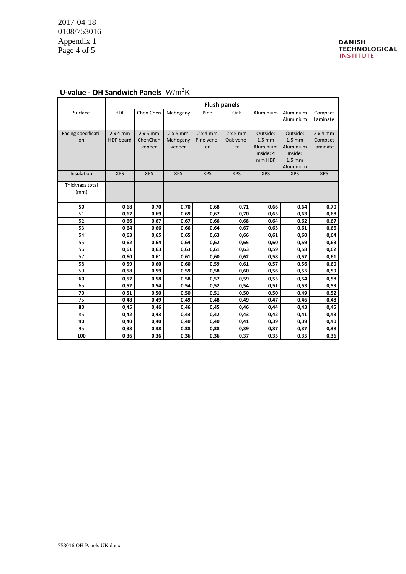2017-04-18 0108/753016 Appendix 1 Page 4 of 5

|                     | <b>Flush panels</b> |                 |                 |            |                 |            |            |            |
|---------------------|---------------------|-----------------|-----------------|------------|-----------------|------------|------------|------------|
| Surface             | <b>HDF</b>          | Chen Chen       | Mahogany        | Pine       | Oak             | Aluminium  | Aluminium  | Compact    |
|                     |                     |                 |                 |            |                 |            | Aluminium  | Laminate   |
|                     |                     |                 |                 |            |                 |            |            |            |
| Facing specificati- | 2x4mm               | $2 \times 5$ mm | $2 \times 5$ mm | 2x4mm      | $2 \times 5$ mm | Outside:   | Outside:   | $2x4$ mm   |
| on                  | <b>HDF</b> board    | ChenChen        | Mahogany        | Pine vene- | Oak vene-       | $1.5$ mm   | $1.5$ mm   | Compact    |
|                     |                     | veneer          | veneer          | er         | er              | Aluminium  | Aluminium  | laminate   |
|                     |                     |                 |                 |            |                 | Inside: 4  | Inside:    |            |
|                     |                     |                 |                 |            |                 | mm HDF     | $1.5$ mm   |            |
|                     |                     |                 |                 |            |                 |            | Aluminium  |            |
| Insulation          | <b>XPS</b>          | <b>XPS</b>      | <b>XPS</b>      | <b>XPS</b> | <b>XPS</b>      | <b>XPS</b> | <b>XPS</b> | <b>XPS</b> |
| Thickness total     |                     |                 |                 |            |                 |            |            |            |
| (mm)                |                     |                 |                 |            |                 |            |            |            |
|                     |                     |                 |                 |            |                 |            |            |            |
| 50                  | 0,68                | 0,70            | 0,70            | 0,68       | 0,71            | 0,66       | 0,64       | 0,70       |
| 51                  | 0,67                | 0,69            | 0,69            | 0,67       | 0,70            | 0,65       | 0,63       | 0,68       |
| 52                  | 0,66                | 0,67            | 0,67            | 0,66       | 0,68            | 0,64       | 0,62       | 0,67       |
| 53                  | 0,64                | 0,66            | 0,66            | 0,64       | 0,67            | 0,63       | 0,61       | 0,66       |
| 54                  | 0,63                | 0,65            | 0,65            | 0,63       | 0,66            | 0,61       | 0,60       | 0,64       |
| 55                  | 0,62                | 0,64            | 0,64            | 0,62       | 0,65            | 0,60       | 0,59       | 0,63       |
| 56                  | 0,61                | 0,63            | 0,63            | 0,61       | 0,63            | 0,59       | 0,58       | 0,62       |
| 57                  | 0,60                | 0,61            | 0,61            | 0,60       | 0,62            | 0,58       | 0,57       | 0,61       |
| 58                  | 0,59                | 0,60            | 0,60            | 0,59       | 0,61            | 0,57       | 0,56       | 0,60       |
| 59                  | 0,58                | 0,59            | 0,59            | 0,58       | 0,60            | 0,56       | 0,55       | 0,59       |
| 60                  | 0,57                | 0,58            | 0,58            | 0,57       | 0,59            | 0,55       | 0,54       | 0,58       |
| 65                  | 0,52                | 0,54            | 0,54            | 0,52       | 0,54            | 0,51       | 0,53       | 0,53       |
| 70                  | 0,51                | 0,50            | 0,50            | 0,51       | 0,50            | 0,50       | 0,49       | 0,52       |
| 75                  | 0,48                | 0,49            | 0,49            | 0,48       | 0,49            | 0,47       | 0,46       | 0,48       |
| 80                  | 0,45                | 0,46            | 0,46            | 0,45       | 0,46            | 0,44       | 0,43       | 0,45       |
| 85                  | 0,42                | 0,43            | 0,43            | 0,42       | 0,43            | 0,42       | 0,41       | 0,43       |
| 90                  | 0,40                | 0,40            | 0,40            | 0,40       | 0,41            | 0,39       | 0,39       | 0,40       |
| 95                  | 0,38                | 0,38            | 0,38            | 0,38       | 0,39            | 0,37       | 0,37       | 0,38       |
| 100                 | 0,36                | 0,36            | 0,36            | 0,36       | 0,37            | 0,35       | 0,35       | 0,36       |

### **U-value - OH Sandwich Panels** W/m<sup>2</sup>K